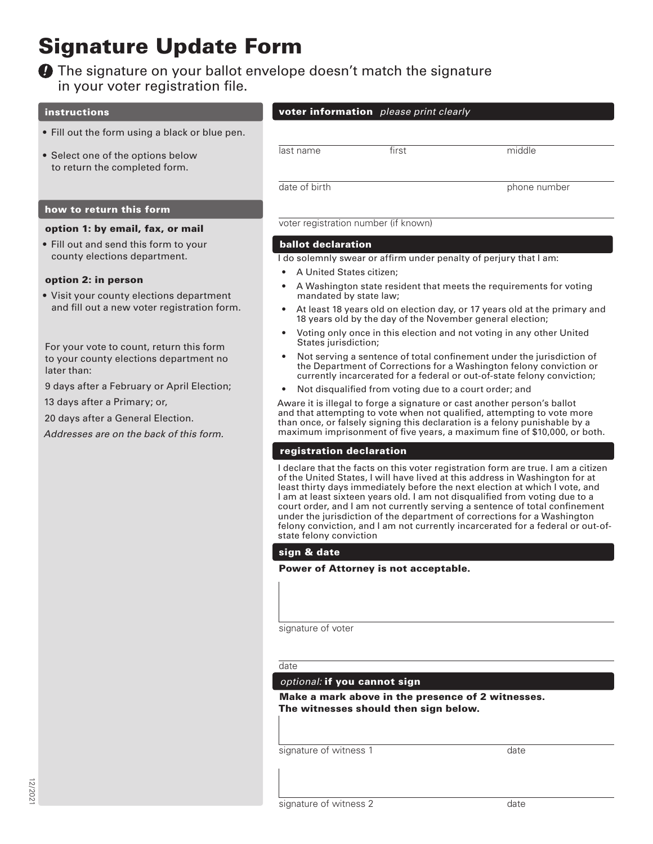# Signature Update Form

# **O** The signature on your ballot envelope doesn't match the signature in your voter registration file.

# instructions

- Fill out the form using a black or blue pen.
- Select one of the options below to return the completed form.

# how to return this form

# option 1: by email, fax, or mail

• Fill out and send this form to your county elections department.

# option 2: in person

• Visit your county elections department and fill out a new voter registration form.

For your vote to count, return this form to your county elections department no later than:

9 days after a February or April Election;

13 days after a Primary; or,

20 days after a General Election.

*Addresses are on the back of this form.*

# voter information *please print clearly*

last name first that middle

date of birth phone number

voter registration number (if known)

# ballot declaration

I do solemnly swear or affirm under penalty of perjury that I am:

- A United States citizen;
- A Washington state resident that meets the requirements for voting mandated by state law;
- At least 18 years old on election day, or 17 years old at the primary and 18 years old by the day of the November general election;
- Voting only once in this election and not voting in any other United States jurisdiction;
- Not serving a sentence of total confinement under the jurisdiction of the Department of Corrections for a Washington felony conviction or currently incarcerated for a federal or out-of-state felony conviction;
- Not disqualified from voting due to a court order; and

Aware it is illegal to forge a signature or cast another person's ballot and that attempting to vote when not qualified, attempting to vote more than once, or falsely signing this declaration is a felony punishable by a maximum imprisonment of five years, a maximum fine of \$10,000, or both.

# registration declaration

I declare that the facts on this voter registration form are true. I am a citizen of the United States, I will have lived at this address in Washington for at least thirty days immediately before the next election at which I vote, and I am at least sixteen years old. I am not disqualified from voting due to a court order, and I am not currently serving a sentence of total confinement under the jurisdiction of the department of corrections for a Washington felony conviction, and I am not currently incarcerated for a federal or out-ofstate felony conviction

# sign & date

Power of Attorney is not acceptable.

signature of voter

date

# *optional:* if you cannot sign

Make a mark above in the presence of 2 witnesses. The witnesses should then sign below.

signature of witness 1 date